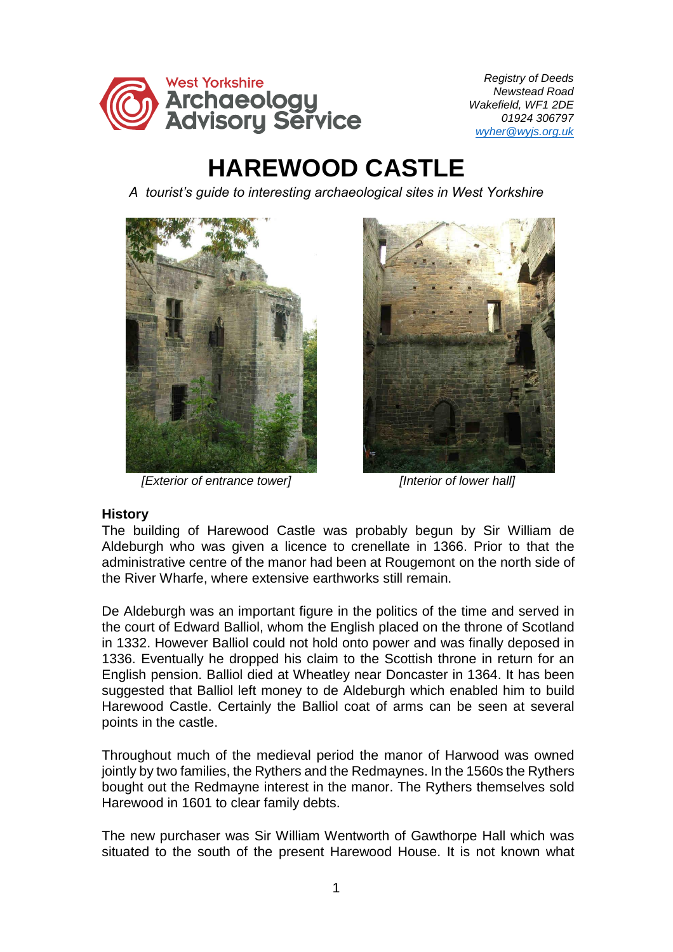

 *Registry of Deeds Newstead Road Wakefield, WF1 2DE 01924 306797 [wyher@wyjs.org.uk](mailto:wyher@wyjs.org.uk)*

## **HAREWOOD CASTLE**

*A tourist's guide to interesting archaeological sites in West Yorkshire* 



*[Exterior of entrance tower] [Interior of lower hall]*



## **History**

The building of Harewood Castle was probably begun by Sir William de Aldeburgh who was given a licence to crenellate in 1366. Prior to that the administrative centre of the manor had been at Rougemont on the north side of the River Wharfe, where extensive earthworks still remain.

De Aldeburgh was an important figure in the politics of the time and served in the court of Edward Balliol, whom the English placed on the throne of Scotland in 1332. However Balliol could not hold onto power and was finally deposed in 1336. Eventually he dropped his claim to the Scottish throne in return for an English pension. Balliol died at Wheatley near Doncaster in 1364. It has been suggested that Balliol left money to de Aldeburgh which enabled him to build Harewood Castle. Certainly the Balliol coat of arms can be seen at several points in the castle.

Throughout much of the medieval period the manor of Harwood was owned jointly by two families, the Rythers and the Redmaynes. In the 1560s the Rythers bought out the Redmayne interest in the manor. The Rythers themselves sold Harewood in 1601 to clear family debts.

The new purchaser was Sir William Wentworth of Gawthorpe Hall which was situated to the south of the present Harewood House. It is not known what